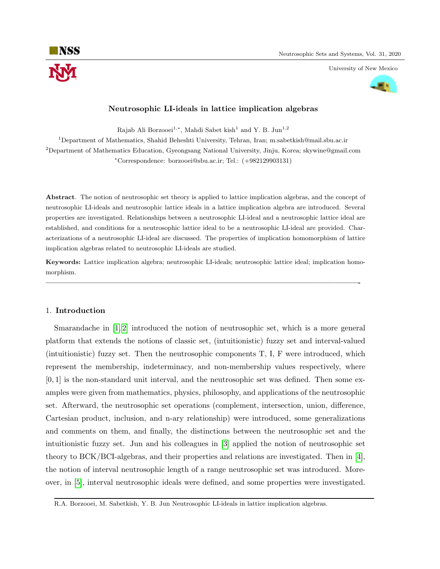University of New Mexico



# Neutrosophic LI-ideals in lattice implication algebras

Rajab Ali Borzooei<sup>1,∗</sup>, Mahdi Sabet kish<sup>1</sup> and Y. B. Jun<sup>1,2</sup>

<sup>1</sup>Department of Mathematics, Shahid Beheshti University, Tehran, Iran; m.sabetkish@mail.sbu.ac.ir  $2$ Department of Mathematics Education, Gyeongsang National University, Jinju, Korea; skywine@gmail.com <sup>∗</sup>Correspondence: borzooei@sbu.ac.ir; Tel.: (+982129903131)

Abstract. The notion of neutrosophic set theory is applied to lattice implication algebras, and the concept of neutrosophic LI-ideals and neutrosophic lattice ideals in a lattice implication algebra are introduced. Several properties are investigated. Relationships between a neutrosophic LI-ideal and a neutrosophic lattice ideal are established, and conditions for a neutrosophic lattice ideal to be a neutrosophic LI-ideal are provided. Characterizations of a neutrosophic LI-ideal are discussed. The properties of implication homomorphism of lattice implication algebras related to neutrosophic LI-ideals are studied.

Keywords: Lattice implication algebra; neutrosophic LI-ideals; neutrosophic lattice ideal; implication homomorphism.

—————————————————————————————————————————-

# 1. Introduction

Smarandache in [\[1,](#page-13-0) [2\]](#page-13-1) introduced the notion of neutrosophic set, which is a more general platform that extends the notions of classic set, (intuitionistic) fuzzy set and interval-valued (intuitionistic) fuzzy set. Then the neutrosophic components T, I, F were introduced, which represent the membership, indeterminacy, and non-membership values respectively, where  $[0, 1]$  is the non-standard unit interval, and the neutrosophic set was defined. Then some examples were given from mathematics, physics, philosophy, and applications of the neutrosophic set. Afterward, the neutrosophic set operations (complement, intersection, union, difference, Cartesian product, inclusion, and n-ary relationship) were introduced, some generalizations and comments on them, and finally, the distinctions between the neutrosophic set and the intuitionistic fuzzy set. Jun and his colleagues in [\[3\]](#page-13-2) applied the notion of neutrosophic set theory to BCK/BCI-algebras, and their properties and relations are investigated. Then in [\[4\]](#page-13-3), the notion of interval neutrosophic length of a range neutrosophic set was introduced. Moreover, in [\[5\]](#page-13-4), interval neutrosophic ideals were defined, and some properties were investigated.

R.A. Borzooei, M. Sabetkish, Y. B. Jun Neutrosophic LI-ideals in lattice implication algebras.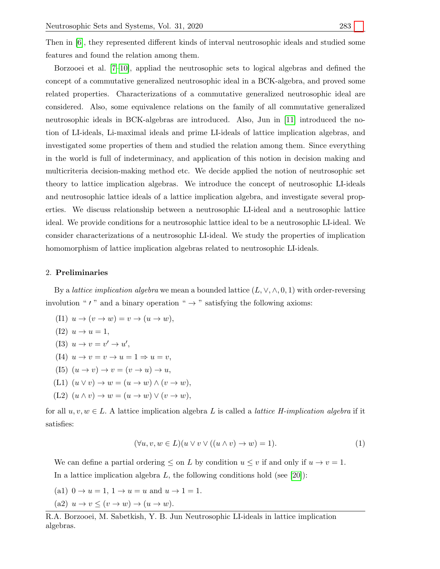Then in [\[6\]](#page-13-5), they represented different kinds of interval neutrosophic ideals and studied some features and found the relation among them.

Borzooei et al. [\[7](#page-13-6)[–10\]](#page-13-7), appliad the neutrosophic sets to logical algebras and defined the concept of a commutative generalized neutrosophic ideal in a BCK-algebra, and proved some related properties. Characterizations of a commutative generalized neutrosophic ideal are considered. Also, some equivalence relations on the family of all commutative generalized neutrosophic ideals in BCK-algebras are introduced. Also, Jun in [\[11\]](#page-13-8) introduced the notion of LI-ideals, Li-maximal ideals and prime LI-ideals of lattice implication algebras, and investigated some properties of them and studied the relation among them. Since everything in the world is full of indeterminacy, and application of this notion in decision making and multicriteria decision-making method etc. We decide applied the notion of neutrosophic set theory to lattice implication algebras. We introduce the concept of neutrosophic LI-ideals and neutrosophic lattice ideals of a lattice implication algebra, and investigate several properties. We discuss relationship between a neutrosophic LI-ideal and a neutrosophic lattice ideal. We provide conditions for a neutrosophic lattice ideal to be a neutrosophic LI-ideal. We consider characterizations of a neutrosophic LI-ideal. We study the properties of implication homomorphism of lattice implication algebras related to neutrosophic LI-ideals.

### 2. Preliminaries

By a *lattice implication algebra* we mean a bounded lattice  $(L, \vee, \wedge, 0, 1)$  with order-reversing involution " $\prime$ " and a binary operation "  $\rightarrow$ " satisfying the following axioms:

(11) 
$$
u \rightarrow (v \rightarrow w) = v \rightarrow (u \rightarrow w),
$$
  
\n(12)  $u \rightarrow u = 1,$   
\n(13)  $u \rightarrow v = v' \rightarrow u',$   
\n(14)  $u \rightarrow v = v \rightarrow u = 1 \Rightarrow u = v,$   
\n(15)  $(u \rightarrow v) \rightarrow v = (v \rightarrow u) \rightarrow u,$   
\n(11)  $(u \lor v) \rightarrow w = (u \rightarrow w) \land (v \rightarrow w),$   
\n(12)  $(u \land v) \rightarrow w = (u \rightarrow w) \lor (v \rightarrow w),$ 

for all  $u, v, w \in L$ . A lattice implication algebra L is called a *lattice H-implication algebra* if it satisfies:

$$
(\forall u, v, w \in L)(u \lor v \lor ((u \land v) \to w) = 1). \tag{1}
$$

We can define a partial ordering  $\leq$  on L by condition  $u \leq v$  if and only if  $u \to v = 1$ . In a lattice implication algebra  $L$ , the following conditions hold (see [\[20\]](#page-13-9)):

- (a1)  $0 \to u = 1, 1 \to u = u$  and  $u \to 1 = 1$ .
- (a2)  $u \to v \leq (v \to w) \to (u \to w)$ .

R.A. Borzooei, M. Sabetkish, Y. B. Jun Neutrosophic LI-ideals in lattice implication algebras.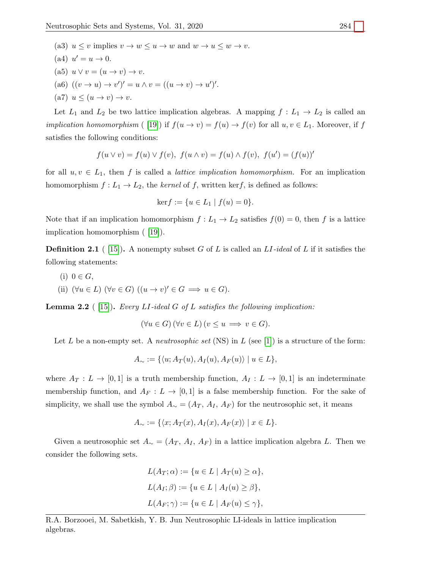- (a3)  $u \leq v$  implies  $v \to w \leq u \to w$  and  $w \to u \leq w \to v$ .
- (a4)  $u'=u\rightarrow 0$ .
- (a5)  $u \vee v = (u \rightarrow v) \rightarrow v$ .
- (a6)  $((v \rightarrow u) \rightarrow v')' = u \land v = ((u \rightarrow v) \rightarrow u')'.$
- (a7)  $u \leq (u \rightarrow v) \rightarrow v$ .

Let  $L_1$  and  $L_2$  be two lattice implication algebras. A mapping  $f: L_1 \to L_2$  is called an *implication homomorphism* ( [\[19\]](#page-13-10)) if  $f(u \to v) = f(u) \to f(v)$  for all  $u, v \in L_1$ . Moreover, if f satisfies the following conditions:

$$
f(u \lor v) = f(u) \lor f(v), \ f(u \land v) = f(u) \land f(v), \ f(u') = (f(u))'
$$

for all  $u, v \in L_1$ , then f is called a *lattice implication homomorphism*. For an implication homomorphism  $f: L_1 \to L_2$ , the kernel of f, written kerf, is defined as follows:

$$
ker f := \{ u \in L_1 \mid f(u) = 0 \}.
$$

Note that if an implication homomorphism  $f: L_1 \to L_2$  satisfies  $f(0) = 0$ , then f is a lattice implication homomorphism ( [\[19\]](#page-13-10)).

**Definition 2.1** ( [\[15\]](#page-13-11)). A nonempty subset G of L is called an  $LI$ -ideal of L if it satisfies the following statements:

(i)  $0 \in G$ , (ii)  $(\forall u \in L)$   $(\forall v \in G)$   $((u \rightarrow v)' \in G \implies u \in G)$ .

**Lemma 2.2** (15). Every LI-ideal G of L satisfies the following implication:

$$
(\forall u \in G) (\forall v \in L) (v \le u \implies v \in G).
$$

Let L be a non-empty set. A *neutrosophic set* (NS) in L (see [\[1\]](#page-13-0)) is a structure of the form:

$$
A_{\sim} := \{ \langle u; A_T(u), A_I(u), A_F(u) \rangle \mid u \in L \},\
$$

where  $A_T: L \to [0,1]$  is a truth membership function,  $A_I: L \to [0,1]$  is an indeterminate membership function, and  $A_F : L \to [0,1]$  is a false membership function. For the sake of simplicity, we shall use the symbol  $A<sub>∼</sub> = (A<sub>T</sub>, A<sub>I</sub>, A<sub>F</sub>)$  for the neutrosophic set, it means

$$
A_{\sim} := \{ \langle x; A_T(x), A_I(x), A_F(x) \rangle \mid x \in L \}.
$$

Given a neutrosophic set  $A<sub>∼</sub> = (A_T, A_I, A_F)$  in a lattice implication algebra L. Then we consider the following sets.

$$
L(A_T; \alpha) := \{ u \in L \mid A_T(u) \ge \alpha \},
$$
  

$$
L(A_I; \beta) := \{ u \in L \mid A_I(u) \ge \beta \},
$$
  

$$
L(A_F; \gamma) := \{ u \in L \mid A_F(u) \le \gamma \},
$$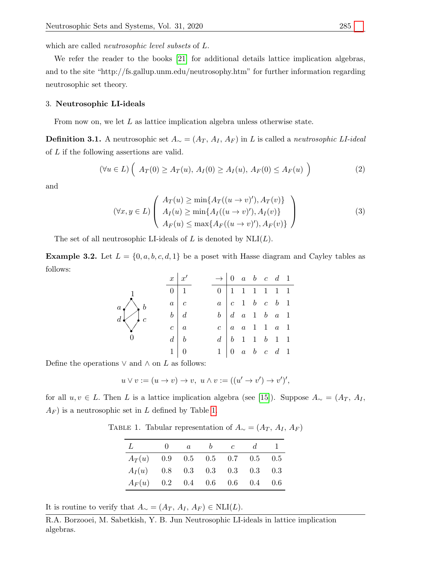which are called *neutrosophic level subsets* of  $L$ .

We refer the reader to the books [\[21\]](#page-13-12) for additional details lattice implication algebras, and to the site "http://fs.gallup.unm.edu/neutrosophy.htm" for further information regarding neutrosophic set theory.

#### 3. Neutrosophic LI-ideals

From now on, we let  $L$  as lattice implication algebra unless otherwise state.

**Definition 3.1.** A neutrosophic set  $A_{\sim} = (A_T, A_I, A_F)$  in L is called a *neutrosophic LI-ideal* of L if the following assertions are valid.

$$
(\forall u \in L) \left( A_T(0) \ge A_T(u), A_I(0) \ge A_I(u), A_F(0) \le A_F(u) \right) \tag{2}
$$

and

<span id="page-3-2"></span><span id="page-3-1"></span>
$$
(\forall x, y \in L) \left( \begin{array}{c} A_T(u) \ge \min\{A_T((u \to v)'), A_T(v)\} \\ A_I(u) \ge \min\{A_I((u \to v)'), A_I(v)\} \\ A_F(u) \le \max\{A_F((u \to v)'), A_F(v)\} \end{array} \right)
$$
(3)

The set of all neutrosophic LI-ideals of  $L$  is denoted by  $NLI(L)$ .

<span id="page-3-3"></span>**Example 3.2.** Let  $L = \{0, a, b, c, d, 1\}$  be a poset with Hasse diagram and Cayley tables as follows:

r 0 ❏ ❏ ✡ ✡ r✚✚ d r c ❏<sup>r</sup> ❏ <sup>r</sup>✡ <sup>b</sup> ✡ <sup>a</sup> r 1 x x<sup>0</sup> 0 1 a c b d c a d b 1 0 → 0 a b c d 1 0 1 1 1 1 1 1 a c 1 b c b 1 b d a 1 b a 1 c a a 1 1 a 1 d b 1 1 b 1 1 1 0 a b c d 1

Define the operations  $\vee$  and  $\wedge$  on  $L$  as follows:

$$
u \vee v := (u \to v) \to v, \ u \wedge v := ((u' \to v') \to v')',
$$

<span id="page-3-0"></span>for all u, v ∈ L. Then L is a lattice implication algebra (see [\[15\]](#page-13-11)). Suppose A<sup>∼</sup> = (A<sup>T</sup> , A<sup>I</sup> ,  $A_F$ ) is a neutrosophic set in L defined by Table [1.](#page-3-0)

TABLE 1. Tabular representation of  $A_{\sim} = (A_T, A_I, A_F)$ 

| L        | $\alpha$ | $\mathcal{C}$                       | d. |  |
|----------|----------|-------------------------------------|----|--|
| $A_T(u)$ |          | $0.9$ $0.5$ $0.5$ $0.7$ $0.5$ $0.5$ |    |  |
| $A_I(u)$ |          | $0.8$ 0.3 0.3 0.3 0.3 0.3           |    |  |
| $A_F(u)$ |          | $0.2$ 0.4 0.6 0.6 0.4 0.6           |    |  |

It is routine to verify that  $A_{\sim} = (A_T, A_I, A_F) \in \text{NLI}(L)$ .

R.A. Borzooei, M. Sabetkish, Y. B. Jun Neutrosophic LI-ideals in lattice implication algebras.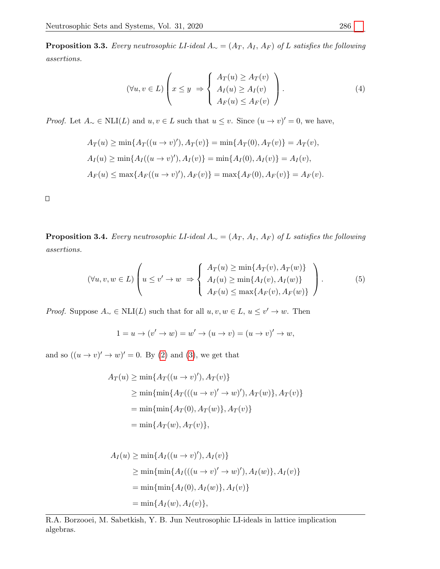<span id="page-4-2"></span>**Proposition 3.3.** Every neutrosophic LI-ideal  $A_{\sim} = (A_T, A_I, A_F)$  of L satisfies the following assertions.

<span id="page-4-1"></span>
$$
(\forall u, v \in L) \left( x \le y \implies \begin{cases} A_T(u) \ge A_T(v) \\ A_I(u) \ge A_I(v) \\ A_F(u) \le A_F(v) \end{cases} \right). \tag{4}
$$

*Proof.* Let  $A_{\sim} \in \text{NLI}(L)$  and  $u, v \in L$  such that  $u \leq v$ . Since  $(u \to v)' = 0$ , we have,

$$
A_T(u) \ge \min\{A_T((u \to v)'), A_T(v)\} = \min\{A_T(0), A_T(v)\} = A_T(v),
$$
  
\n
$$
A_I(u) \ge \min\{A_I((u \to v)'), A_I(v)\} = \min\{A_I(0), A_I(v)\} = A_I(v),
$$
  
\n
$$
A_F(u) \le \max\{A_F((u \to v)'), A_F(v)\} = \max\{A_F(0), A_F(v)\} = A_F(v).
$$

 $\Box$ 

<span id="page-4-0"></span>**Proposition 3.4.** Every neutrosophic LI-ideal  $A_{\sim} = (A_T, A_I, A_F)$  of L satisfies the following assertions.

$$
(\forall u, v, w \in L) \left( u \le v' \to w \implies \begin{cases} A_T(u) \ge \min\{A_T(v), A_T(w)\} \\ A_I(u) \ge \min\{A_I(v), A_I(w)\} \\ A_F(u) \le \max\{A_F(v), A_F(w)\} \end{cases} \right). \tag{5}
$$

*Proof.* Suppose  $A_{\sim} \in \text{NLI}(L)$  such that for all  $u, v, w \in L$ ,  $u \leq v' \to w$ . Then

<span id="page-4-3"></span>
$$
1 = u \to (v' \to w) = w' \to (u \to v) = (u \to v)' \to w,
$$

and so  $((u \to v)' \to w)' = 0$ . By [\(2\)](#page-3-1) and [\(3\)](#page-3-2), we get that

$$
A_T(u) \ge \min\{A_T((u \to v)'), A_T(v)\}\
$$
  
\n
$$
\ge \min\{\min\{A_T(((u \to v)' \to w)', A_T(w)\}, A_T(v)\}\)
$$
  
\n
$$
= \min\{\min\{A_T(0), A_T(w)\}, A_T(v)\}\
$$
  
\n
$$
= \min\{A_T(w), A_T(v)\},
$$

$$
A_I(u) \ge \min\{A_I((u \to v)', A_I(v)\}\
$$
  
\n
$$
\ge \min\{\min\{A_I(((u \to v)' \to w)', A_I(w)\}, A_I(v)\}\)
$$
  
\n
$$
= \min\{\min\{A_I(0), A_I(w)\}, A_I(v)\}\
$$
  
\n
$$
= \min\{A_I(w), A_I(v)\},
$$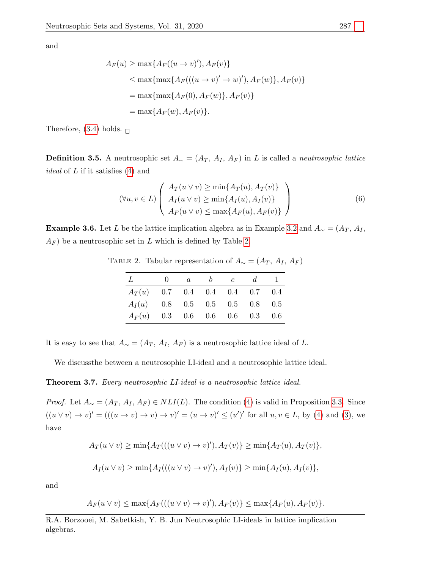and

$$
A_F(u) \ge \max\{A_F((u \to v)'), A_F(v)\}\
$$
  
\n
$$
\le \max\{\max\{A_F(((u \to v)' \to w)'), A_F(w)\}, A_F(v)\}\
$$
  
\n
$$
= \max\{\max\{A_F(0), A_F(w)\}, A_F(v)\}\
$$
  
\n
$$
= \max\{A_F(w), A_F(v)\}.
$$

Therefore, [\(3.4\)](#page-4-0) holds.  $\Box$ 

**Definition 3.5.** A neutrosophic set  $A_ ∼ = (A_T, A_I, A_F)$  in L is called a *neutrosophic lattice ideal* of  $L$  if it satisfies  $(4)$  and

<span id="page-5-2"></span>
$$
(\forall u, v \in L) \left( \begin{array}{c} A_T(u \vee v) \ge \min\{A_T(u), A_T(v)\} \\ A_I(u \vee v) \ge \min\{A_I(u), A_I(v)\} \\ A_F(u \vee v) \le \max\{A_F(u), A_F(v)\} \end{array} \right)
$$
(6)

<span id="page-5-0"></span>**Example 3.6.** Let L be the lattice implication algebra as in Example [3.2](#page-3-3) and  $A<sub>∼</sub> = (A<sub>T</sub>, A<sub>I</sub>, A<sub>U</sub>)$  $A_F$ ) be a neutrosophic set in L which is defined by Table [2.](#page-5-0)

TABLE 2. Tabular representation of  $A<sub>∼</sub> = (A<sub>T</sub>, A<sub>I</sub>, A<sub>F</sub>)$ 

| L                                | $\cup$ | $\alpha$ | b | $\mathcal{C}$ | $\mathfrak{a}$            |  |
|----------------------------------|--------|----------|---|---------------|---------------------------|--|
| $A_T(u)$ 0.7 0.4 0.4 0.4 0.7 0.4 |        |          |   |               |                           |  |
| $A_I(u)$ 0.8 0.5 0.5 0.5 0.8 0.5 |        |          |   |               |                           |  |
| $A_F(u)$                         |        |          |   |               | $0.3$ 0.6 0.6 0.6 0.3 0.6 |  |

It is easy to see that  $A_{\sim} = (A_T, A_I, A_F)$  is a neutrosophic lattice ideal of L.

We discussthe between a neutrosophic LI-ideal and a neutrosophic lattice ideal.

<span id="page-5-1"></span>Theorem 3.7. Every neutrosophic LI-ideal is a neutrosophic lattice ideal.

*Proof.* Let  $A_{\sim} = (A_T, A_I, A_F) \in NLI(L)$ . The condition [\(4\)](#page-4-1) is valid in Proposition [3.3.](#page-4-2) Since  $((u \vee v) \rightarrow v)' = (((u \rightarrow v) \rightarrow v) \rightarrow v)' = (u \rightarrow v)' \leq (u')'$  for all  $u, v \in L$ , by [\(4\)](#page-4-1) and [\(3\)](#page-3-2), we have

$$
A_T(u \vee v) \ge \min\{A_T(((u \vee v) \to v)'), A_T(v)\} \ge \min\{A_T(u), A_T(v)\},\
$$
  

$$
A_I(u \vee v) \ge \min\{A_I(((u \vee v) \to v)'), A_I(v)\} \ge \min\{A_I(u), A_I(v)\},\
$$

and

$$
A_F(u \vee v) \le \max\{A_F(((u \vee v) \to v)'), A_F(v)\} \le \max\{A_F(u), A_F(v)\}.
$$

R.A. Borzooei, M. Sabetkish, Y. B. Jun Neutrosophic LI-ideals in lattice implication algebras.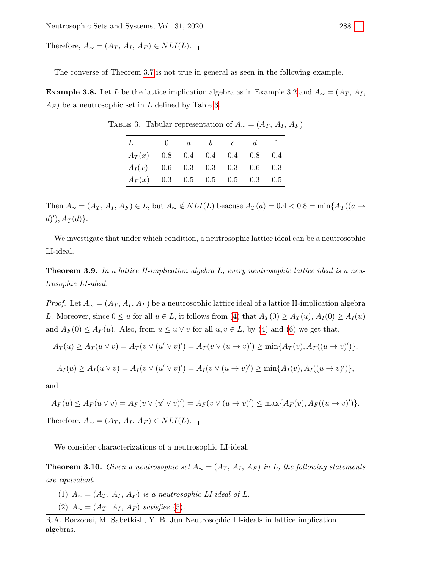Therefore,  $A_{\sim} = (A_T, A_I, A_F) \in NLI(L)$ .

The converse of Theorem [3.7](#page-5-1) is not true in general as seen in the following example.

<span id="page-6-0"></span>**Example 3.8.** Let L be the lattice implication algebra as in Example [3.2](#page-3-3) and  $A<sub>∼</sub> = (A<sub>T</sub>, A<sub>I</sub>, A<sub>U</sub>)$  $A_F$ ) be a neutrosophic set in L defined by Table [3.](#page-6-0)

| $\mathcal{L}$                    | $\mathbf{0}$ | $\alpha$ | $\bm{b}$ | $\mathfrak{c}$ | $d -$ |  |
|----------------------------------|--------------|----------|----------|----------------|-------|--|
| $A_T(x)$ 0.8 0.4 0.4 0.4 0.8 0.4 |              |          |          |                |       |  |
| $A_I(x)$ 0.6 0.3 0.3 0.3 0.6 0.3 |              |          |          |                |       |  |
| $A_F(x)$ 0.3 0.5 0.5 0.5 0.3 0.5 |              |          |          |                |       |  |

TABLE 3. Tabular representation of  $A<sub>∼</sub> = (A<sub>T</sub>, A<sub>I</sub>, A<sub>F</sub>)$ 

Then  $A_{\sim} = (A_T, A_I, A_F) \in L$ , but  $A_{\sim} \notin NLI(L)$  beacuse  $A_T(a) = 0.4 < 0.8 = \min\{A_T((a \rightarrow$  $d)$ '),  $A_T(d)$ }.

We investigate that under which condition, a neutrosophic lattice ideal can be a neutrosophic LI-ideal.

**Theorem 3.9.** In a lattice H-implication algebra L, every neutrosophic lattice ideal is a neutrosophic LI-ideal.

*Proof.* Let  $A_{\sim} = (A_T, A_I, A_F)$  be a neutrosophic lattice ideal of a lattice H-implication algebra L. Moreover, since  $0 \le u$  for all  $u \in L$ , it follows from [\(4\)](#page-4-1) that  $A_T(0) \ge A_T(u)$ ,  $A_T(0) \ge A_T(u)$ and  $A_F(0) \leq A_F(u)$ . Also, from  $u \leq u \vee v$  for all  $u, v \in L$ , by [\(4\)](#page-4-1) and [\(6\)](#page-5-2) we get that,

$$
A_T(u) \ge A_T(u \vee v) = A_T(v \vee (u' \vee v)') = A_T(v \vee (u \to v)') \ge \min\{A_T(v), A_T((u \to v)')\},\
$$

$$
A_I(u) \ge A_I(u \vee v) = A_I(v \vee (u' \vee v)') = A_I(v \vee (u \to v)') \ge \min\{A_I(v), A_I((u \to v)')\},\
$$

and

$$
A_F(u) \le A_F(u \vee v) = A_F(v \vee (u' \vee v)') = A_F(v \vee (u \to v)') \le \max\{A_F(v), A_F((u \to v)')\}.
$$

Therefore,  $A_{\sim} = (A_T, A_I, A_F) \in NLI(L)$ . ⊓

We consider characterizations of a neutrosophic LI-ideal.

**Theorem 3.10.** Given a neutrosophic set  $A_{\sim} = (A_T, A_I, A_F)$  in L, the following statements are equivalent.

- (1)  $A_{\sim} = (A_T, A_I, A_F)$  is a neutrosophic LI-ideal of L. (2)  $A_{\sim} = (A_T, A_I, A_F)$  satisfies [\(5\)](#page-4-3).
- R.A. Borzooei, M. Sabetkish, Y. B. Jun Neutrosophic LI-ideals in lattice implication algebras.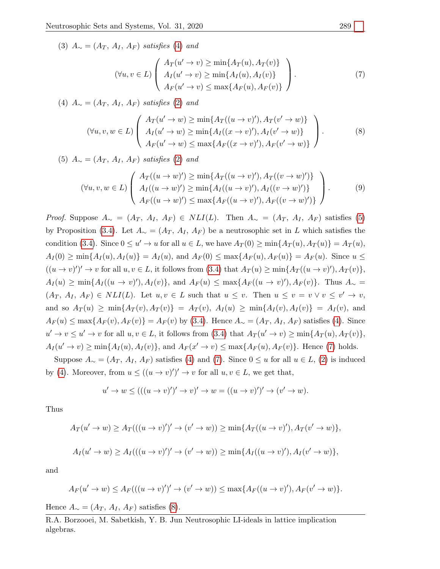(3)  $A_{\sim} = (A_T, A_I, A_F)$  satisfies [\(4\)](#page-4-1) and

<span id="page-7-2"></span><span id="page-7-1"></span><span id="page-7-0"></span>
$$
(\forall u, v \in L) \left( \begin{array}{c} A_T(u' \to v) \ge \min\{A_T(u), A_T(v)\} \\ A_I(u' \to v) \ge \min\{A_I(u), A_I(v)\} \\ A_F(u' \to v) \le \max\{A_F(u), A_F(v)\} \end{array} \right). \tag{7}
$$

(4)  $A_{\sim} = (A_T, A_I, A_F)$  satisfies [\(2\)](#page-3-1) and

$$
(\forall u, v, w \in L) \left( \begin{array}{c} A_T(u' \to w) \ge \min\{A_T((u \to v)'), A_T(v' \to w)\} \\ A_I(u' \to w) \ge \min\{A_I((x \to v)'), A_I(v' \to w)\} \\ A_F(u' \to w) \le \max\{A_F((x \to v)'), A_F(v' \to w)\} \end{array} \right).
$$
 (8)

(5)  $A_{\sim} = (A_T, A_I, A_F)$  satisfies [\(2\)](#page-3-1) and

$$
(\forall u, v, w \in L) \left( \begin{array}{c} A_T((u \to w)') \ge \min\{A_T((u \to v)'), A_T((v \to w)')\} \\ A_I((u \to w)') \ge \min\{A_I((u \to v)'), A_I((v \to w)')\} \\ A_F((u \to w)') \le \max\{A_F((u \to v)'), A_F((v \to w)')\} \end{array} \right). \tag{9}
$$

*Proof.* Suppose  $A_{\sim} = (A_T, A_I, A_F) \in NLI(L)$ . Then  $A_{\sim} = (A_T, A_I, A_F)$  satisfies [\(5\)](#page-4-3) by Proposition [\(3.4\)](#page-4-0). Let  $A_{\sim} = (A_T, A_I, A_F)$  be a neutrosophic set in L which satisfies the condition [\(3.4\)](#page-4-0). Since  $0 \le u' \to u$  for all  $u \in L$ , we have  $A_T(0) \ge \min\{A_T(u), A_T(u)\} = A_T(u)$ ,  $A_I(0) \ge \min\{A_I(u), A_I(u)\} = A_I(u)$ , and  $A_F(0) \le \max\{A_F(u), A_F(u)\} = A_F(u)$ . Since  $u \le$  $((u \to v)')' \to v$  for all  $u, v \in L$ , it follows from  $(3.4)$  that  $A_T(u) \ge \min\{A_T((u \to v)'), A_T(v)\},\$  $A_I(u) \ge \min\{A_I((u \to v)'), A_I(v)\},\$ and  $A_F(u) \le \max\{A_F((u \to v)'), A_F(v)\}.$  Thus  $A_{\sim} =$  $(A_T, A_I, A_F) \in NLI(L)$ . Let  $u, v \in L$  such that  $u \leq v$ . Then  $u \leq v = v \vee v \leq v' \rightarrow v$ , and so  $A_T(u) \ge \min\{A_T(v), A_T(v)\} = A_T(v), A_I(u) \ge \min\{A_I(v), A_I(v)\} = A_I(v)$ , and  $A_F(u) \leq \max\{A_F(v), A_F(v)\} = A_F(v)$  by [\(3.4\)](#page-4-0). Hence  $A_\sim = (A_T, A_I, A_F)$  satisfies [\(4\)](#page-4-1). Since  $u' \to v \leq u' \to v$  for all  $u, v \in L$ , it follows from [\(3.4\)](#page-4-0) that  $A_T(u' \to v) \geq \min\{A_T(u), A_T(v)\},$  $A_I(u' \to v) \ge \min\{A_I(u), A_I(v)\}\$ , and  $A_F(x' \to v) \le \max\{A_F(u), A_F(v)\}\$ . Hence [\(7\)](#page-7-0) holds.

Suppose  $A_{\sim} = (A_T, A_I, A_F)$  satisfies [\(4\)](#page-4-1) and [\(7\)](#page-7-0). Since  $0 \le u$  for all  $u \in L$ , [\(2\)](#page-3-1) is induced by [\(4\)](#page-4-1). Moreover, from  $u \le ((u \to v)')' \to v$  for all  $u, v \in L$ , we get that,

$$
u' \to w \le ((u \to v)')' \to v)' \to w = ((u \to v)')' \to (v' \to w).
$$

Thus

$$
A_T(u' \to w) \ge A_T(((u \to v)')' \to (v' \to w)) \ge \min\{A_T((u \to v)'), A_T(v' \to w)\},\
$$

$$
A_I(u' \to w) \ge A_I(((u \to v)')' \to (v' \to w)) \ge \min\{A_I((u \to v)'), A_I(v' \to w)\},\
$$

and

$$
A_F(u' \to w) \le A_F(((u \to v)')' \to (v' \to w)) \le \max\{A_F((u \to v)'), A_F(v' \to w)\}.
$$

Hence  $A_{\sim} = (A_T, A_I, A_F)$  satisfies [\(8\)](#page-7-1).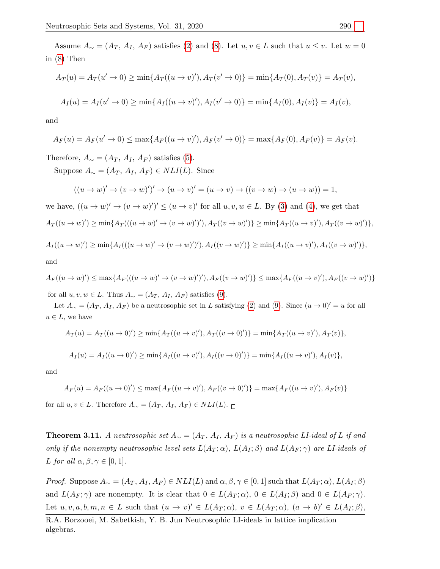Assume  $A_{\sim} = (A_T, A_I, A_F)$  satisfies [\(2\)](#page-3-1) and [\(8\)](#page-7-1). Let  $u, v \in L$  such that  $u \leq v$ . Let  $w = 0$ in [\(8\)](#page-7-1) Then

$$
A_T(u) = A_T(u' \to 0) \ge \min\{A_T((u \to v)'), A_T(v' \to 0)\} = \min\{A_T(0), A_T(v)\} = A_T(v),
$$
  

$$
A_I(u) = A_I(u' \to 0) \ge \min\{A_I((u \to v)'), A_I(v' \to 0)\} = \min\{A_I(0), A_I(v)\} = A_I(v),
$$

and

$$
A_F(u) = A_F(u' \to 0) \le \max\{A_F((u \to v)'), A_F(v' \to 0)\} = \max\{A_F(0), A_F(v)\} = A_F(v).
$$

Therefore,  $A_{\sim} = (A_T, A_I, A_F)$  satisfies [\(5\)](#page-4-3).

Suppose  $A_{\sim} = (A_T, A_I, A_F) \in NLI(L)$ . Since

$$
((u \to w)' \to (v \to w)')' \to (u \to v)' = (u \to v) \to ((v \to w) \to (u \to w)) = 1,
$$

we have,  $((u \to w)' \to (v \to w)')' \le (u \to v)'$  for all  $u, v, w \in L$ . By [\(3\)](#page-3-2) and [\(4\)](#page-4-1), we get that  $A_T((u \to w)') \ge \min\{A_T(((u \to w)' \to (v \to w)')'), A_T((v \to w)')\} \ge \min\{A_T((u \to v'), A_T((v \to w)')\},\$ 

$$
A_I((u \to w)') \ge \min\{A_I(((u \to w)' \to (v \to w)')'), A_I((v \to w)')\} \ge \min\{A_I((u \to v)', A_I((v \to w)')\},\
$$

and

$$
A_F((u \to w)') \le \max\{A_F(((u \to w)' \to (v \to w)')'), A_F((v \to w)')\} \le \max\{A_F((u \to v)', A_F((v \to w)')\})
$$

for all  $u, v, w \in L$ . Thus  $A_{\sim} = (A_T, A_I, A_F)$  satisfies [\(9\)](#page-7-2).

Let  $A_{\sim} = (A_T, A_I, A_F)$  be a neutrosophic set in L satisfying [\(2\)](#page-3-1) and [\(9\)](#page-7-2). Since  $(u \to 0)' = u$  for all  $u \in L$ , we have

$$
A_T(u) = A_T((u \to 0)') \ge \min\{A_T((u \to v)'), A_T((v \to 0)')\} = \min\{A_T((u \to v)'), A_T(v)\},\
$$

$$
A_I(u) = A_I((u \to 0)') \ge \min\{A_I((u \to v)'), A_I((v \to 0)')\} = \min\{A_I((u \to v)'), A_I(v)\},\
$$

and

$$
A_F(u) = A_F((u \to 0)') \le \max\{A_F((u \to v)'), A_F((v \to 0)')\} = \max\{A_F((u \to v)'), A_F(v)\}
$$

for all  $u, v \in L$ . Therefore  $A_{\sim} = (A_T, A_I, A_F) \in NLI(L)$ .  $\sqcap$ 

**Theorem 3.11.** A neutrosophic set  $A_{\sim} = (A_T, A_I, A_F)$  is a neutrosophic LI-ideal of L if and only if the nonempty neutrosophic level sets  $L(A_T; \alpha)$ ,  $L(A_I; \beta)$  and  $L(A_F; \gamma)$  are LI-ideals of L for all  $\alpha, \beta, \gamma \in [0, 1].$ 

*Proof.* Suppose  $A_{\sim} = (A_T, A_I, A_F) \in NLI(L)$  and  $\alpha, \beta, \gamma \in [0, 1]$  such that  $L(A_T; \alpha), L(A_I; \beta)$ and  $L(A_F; \gamma)$  are nonempty. It is clear that  $0 \in L(A_T; \alpha)$ ,  $0 \in L(A_I; \beta)$  and  $0 \in L(A_F; \gamma)$ . Let  $u, v, a, b, m, n \in L$  such that  $(u \to v)' \in L(A_T; \alpha)$ ,  $v \in L(A_T; \alpha)$ ,  $(a \to b)' \in L(A_T; \beta)$ ,

R.A. Borzooei, M. Sabetkish, Y. B. Jun Neutrosophic LI-ideals in lattice implication algebras.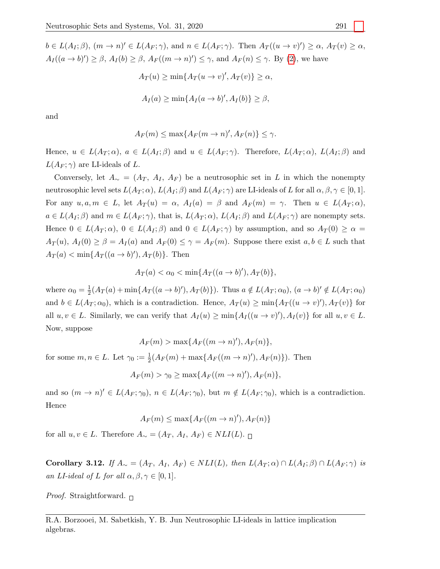$b \in L(A_I;\beta), (m \to n)' \in L(A_F;\gamma)$ , and  $n \in L(A_F;\gamma)$ . Then  $A_T((u \to v)') \geq \alpha$ ,  $A_T(v) \geq \alpha$ ,  $A_I((a \to b)') \geq \beta$ ,  $A_I(b) \geq \beta$ ,  $A_F((m \to n)') \leq \gamma$ , and  $A_F(n) \leq \gamma$ . By [\(2\)](#page-3-1), we have

$$
A_T(u) \ge \min\{A_T(u \to v)', A_T(v)\} \ge \alpha,
$$
  

$$
A_I(a) \ge \min\{A_I(a \to b)', A_I(b)\} \ge \beta,
$$

and

$$
A_F(m) \le \max\{A_F(m \to n)', A_F(n)\} \le \gamma.
$$

Hence,  $u \in L(A_T; \alpha)$ ,  $a \in L(A_I; \beta)$  and  $u \in L(A_F; \gamma)$ . Therefore,  $L(A_T; \alpha)$ ,  $L(A_I; \beta)$  and  $L(A_F; \gamma)$  are LI-ideals of L.

Conversely, let  $A_{\sim} = (A_T, A_I, A_F)$  be a neutrosophic set in L in which the nonempty neutrosophic level sets  $L(A_T; \alpha)$ ,  $L(A_I; \beta)$  and  $L(A_F; \gamma)$  are LI-ideals of L for all  $\alpha, \beta, \gamma \in [0, 1]$ . For any  $u, a, m \in L$ , let  $A_T(u) = \alpha$ ,  $A_T(a) = \beta$  and  $A_F(m) = \gamma$ . Then  $u \in L(A_T; \alpha)$ ,  $a \in L(A_I;\beta)$  and  $m \in L(A_F;\gamma)$ , that is,  $L(A_T;\alpha)$ ,  $L(A_I;\beta)$  and  $L(A_F;\gamma)$  are nonempty sets. Hence  $0 \in L(A_T; \alpha)$ ,  $0 \in L(A_I; \beta)$  and  $0 \in L(A_F; \gamma)$  by assumption, and so  $A_T(0) \geq \alpha$  $A_T(u)$ ,  $A_I(0) \geq \beta = A_I(a)$  and  $A_F(0) \leq \gamma = A_F(m)$ . Suppose there exist  $a, b \in L$  such that  $A_T(a) < \min\{A_T((a \to b)'), A_T(b)\}.$  Then

$$
A_T(a) < \alpha_0 < \min\{A_T((a \to b)'), A_T(b)\},
$$

where  $\alpha_0 = \frac{1}{2}(A_T(a) + \min\{A_T((a \to b)'), A_T(b)\})$ . Thus  $a \notin L(A_T; \alpha_0)$ ,  $(a \to b)' \notin L(A_T; \alpha_0)$ and  $b \in L(A_T; \alpha_0)$ , which is a contradiction. Hence,  $A_T(u) \ge \min\{A_T((u \to v)'), A_T(v)\}\)$  for all  $u, v \in L$ . Similarly, we can verify that  $A_I(u) \ge \min\{A_I((u \to v)'), A_I(v)\}\)$  for all  $u, v \in L$ . Now, suppose

$$
A_F(m) > \max\{A_F((m \to n)'), A_F(n)\},\
$$

for some  $m, n \in L$ . Let  $\gamma_0 := \frac{1}{2}(A_F(m) + \max\{A_F((m \to n)'), A_F(n)\})$ . Then

 $A_F(m) > \gamma_0 \ge \max\{A_F((m \to n)'), A_F(n)\},\$ 

and so  $(m \to n)' \in L(A_F; \gamma_0)$ ,  $n \in L(A_F; \gamma_0)$ , but  $m \notin L(A_F; \gamma_0)$ , which is a contradiction. Hence

$$
A_F(m) \le \max\{A_F((m \to n)'), A_F(n)\}\
$$

for all  $u, v \in L$ . Therefore  $A_{\sim} = (A_T, A_I, A_F) \in NLI(L)$ .  $\sqcap$ 

Corollary 3.12. If  $A_\sim = (A_T, A_I, A_F) \in NL(I_L)$ , then  $L(A_T; \alpha) \cap L(A_I; \beta) \cap L(A_F; \gamma)$  is an LI-ideal of L for all  $\alpha, \beta, \gamma \in [0, 1]$ .

*Proof.* Straightforward.  $\Box$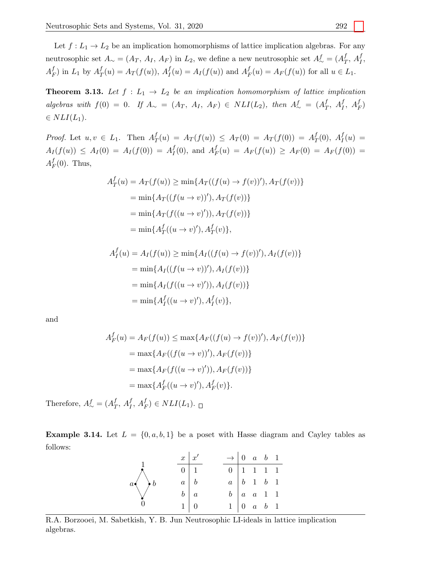Let  $f: L_1 \to L_2$  be an implication homomorphisms of lattice implication algebras. For any neutrosophic set A<sup>∼</sup> = (A<sup>T</sup> , A<sup>I</sup> , A<sup>F</sup> ) in L2, we define a new neutrosophic set A<sup>f</sup> <sup>∼</sup> <sup>=</sup> (A<sup>f</sup> <sup>T</sup> , <sup>A</sup><sup>f</sup> I ,  $A_F^f$ ) in  $L_1$  by  $A_T^f(u) = A_T(f(u))$ ,  $A_I^f(u) = A_I(f(u))$  and  $A_F^f(u) = A_F(f(u))$  for all  $u \in L_1$ .

<span id="page-10-0"></span>**Theorem 3.13.** Let  $f: L_1 \rightarrow L_2$  be an implication homomorphism of lattice implication algebras with  $f(0) = 0$ . If  $A_{\sim} = (A_T, A_I, A_F) \in NLI(L_2)$ , then  $A_{\sim}^f = (A_T^f, A_T^f, A_F^f)$  $\in NLI(L_1).$ 

*Proof.* Let  $u, v \in L_1$ . Then  $A_T^f(u) = A_T(f(u)) \leq A_T(0) = A_T(f(0)) = A_T^f(0)$ ,  $A_I^f(u) =$  $A_I(f(u)) \leq A_I(0) = A_I(f(0)) = A_I^f(0)$ , and  $A_F^f(u) = A_F(f(u)) \geq A_F(0) = A_F(f(0)) =$  $A_F^f(0)$ . Thus,

$$
A_T^f(u) = A_T(f(u)) \ge \min\{A_T((f(u) \to f(v))'), A_T(f(v))\}
$$
  
=  $\min\{A_T((f(u \to v))'), A_T(f(v))\}$   
=  $\min\{A_T(f((u \to v')), A_T(f(v))\}$   
=  $\min\{A_T^f((u \to v'), A_T^f(v)\},\)$ 

$$
A_I^f(u) = A_I(f(u)) \ge \min\{A_I((f(u) \to f(v))'), A_I(f(v))\}
$$
  
=  $\min\{A_I((f(u \to v))'), A_I(f(v))\}$   
=  $\min\{A_I(f((u \to v')), A_I(f(v))\}$   
=  $\min\{A_I^f((u \to v'), A_I^f(v)\},\$ 

and

$$
A_F^f(u) = A_F(f(u)) \le \max\{A_F((f(u) \to f(v))'), A_F(f(v))\}
$$
  
=  $\max\{A_F((f(u \to v))'), A_F(f(v))\}$   
=  $\max\{A_F(f((u \to v')), A_F(f(v))\}$   
=  $\max\{A_F^f((u \to v'), A_F^f(v)\}.$ 

Therefore,  $A_{\sim}^f = (A_T^f, A_I^f, A_F^f) \in NLI(L_1)$ .

**Example 3.14.** Let  $L = \{0, a, b, 1\}$  be a poset with Hasse diagram and Cayley tables as follows:

|                | $x \mid x'$ |            | $\rightarrow$ 0 a b 1 |                                                 |  |  |
|----------------|-------------|------------|-----------------------|-------------------------------------------------|--|--|
|                | $0 \mid 1$  |            | $0$   1   1   1   1   |                                                 |  |  |
| $a \bigvee b$  | $a \mid b$  |            |                       | $a \mid b \mid 1 \mid b \mid 1$                 |  |  |
|                |             | $b \mid a$ |                       | $b \begin{bmatrix} a & a & 1 & 1 \end{bmatrix}$ |  |  |
| $\overline{0}$ |             | $1 \mid 0$ |                       | $1 \mid 0 \quad a \quad b \quad 1$              |  |  |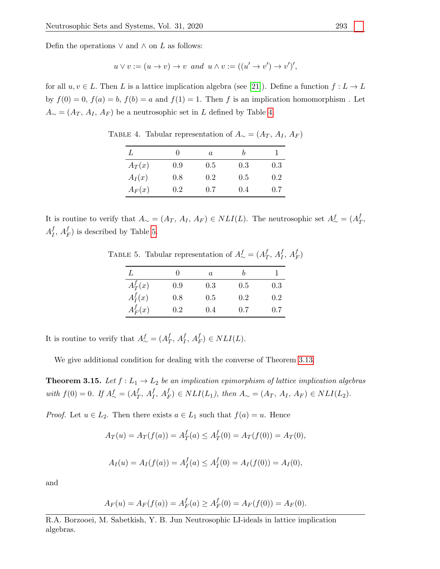Defin the operations  $\vee$  and  $\wedge$  on  $L$  as follows:

$$
u \vee v := (u \to v) \to v \text{ and } u \wedge v := ((u' \to v') \to v')',
$$

<span id="page-11-0"></span>for all  $u, v \in L$ . Then L is a lattice implication algebra (see [\[21\]](#page-13-12)). Define a function  $f: L \to L$ by  $f(0) = 0$ ,  $f(a) = b$ ,  $f(b) = a$  and  $f(1) = 1$ . Then f is an implication homomorphism. Let  $A_{\sim} = (A_T, A_I, A_F)$  be a neutrosophic set in L defined by Table [4.](#page-11-0)

TABLE 4. Tabular representation of  $A<sub>∼</sub> = (A<sub>T</sub>, A<sub>I</sub>, A<sub>F</sub>)$ 

| L        |     | a   | b   |     |
|----------|-----|-----|-----|-----|
| $A_T(x)$ | 0.9 | 0.5 | 0.3 | 0.3 |
| $A_I(x)$ | 0.8 | 0.2 | 0.5 | 0.2 |
| $A_F(x)$ | 0.2 | 0.7 | 0.4 | 0.7 |

<span id="page-11-1"></span>It is routine to verify that  $A_{\sim} = (A_T, A_I, A_F) \in NLI(L)$ . The neutrosophic set  $A_{\sim}^f = (A_T^f, A_{\sim})$  $A_I^f, A_F^f$ ) is described by Table [5.](#page-11-1)

TABLE 5. Tabular representation of  $A^f_{\sim} = (A^f_T, A^f_I, A^f_F)$ 

| L          | 0   | a   |     |     |
|------------|-----|-----|-----|-----|
| $A_T^f(x)$ | 0.9 | 0.3 | 0.5 | 0.3 |
| $A_I^f(x)$ | 0.8 | 0.5 | 0.2 | 0.2 |
| $A_F^f(x)$ | 0.2 | 0.4 | 0.7 | 0.7 |

It is routine to verify that  $A^f_{\sim} = (A^f_T, A^f_I, A^f_F) \in NLI(L)$ .

We give additional condition for dealing with the converse of Theorem [3.13.](#page-10-0)

**Theorem 3.15.** Let  $f: L_1 \to L_2$  be an implication epimorphism of lattice implication algebras with  $f(0) = 0$ . If  $A^f_{\sim} = (A^f_T, A^f_T, A^f_F) \in NLI(L_1)$ , then  $A_{\sim} = (A_T, A_I, A_F) \in NLI(L_2)$ .

*Proof.* Let  $u \in L_2$ . Then there exists  $a \in L_1$  such that  $f(a) = u$ . Hence

$$
A_T(u) = A_T(f(a)) = A_T^f(a) \le A_T^f(0) = A_T(f(0)) = A_T(0),
$$

$$
A_I(u) = A_I(f(a)) = A_I^f(a) \le A_I^f(0) = A_I(f(0)) = A_I(0),
$$

and

$$
A_F(u) = A_F(f(a)) = A_F^f(a) \ge A_F^f(0) = A_F(f(0)) = A_F(0).
$$

R.A. Borzooei, M. Sabetkish, Y. B. Jun Neutrosophic LI-ideals in lattice implication algebras.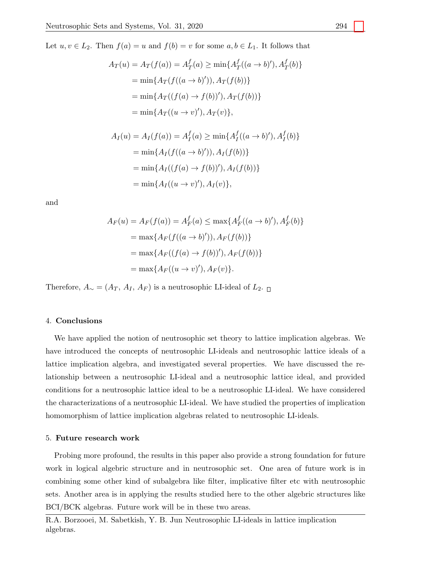Let  $u, v \in L_2$ . Then  $f(a) = u$  and  $f(b) = v$  for some  $a, b \in L_1$ . It follows that

$$
A_T(u) = A_T(f(a)) = A_T^f(a) \ge \min\{A_T^f((a \to b)'), A_T^f(b)\}
$$
  
=  $\min\{A_T(f((a \to b)')), A_T(f(b))\}$   
=  $\min\{A_T((f(a) \to f(b))'), A_T(f(b))\}$   
=  $\min\{A_T((u \to v)'), A_T(v)\},$ 

$$
A_I(u) = A_I(f(a)) = A_I^f(a) \ge \min\{A_I^f((a \to b)'), A_I^f(b)\}
$$
  
=  $\min\{A_I(f((a \to b)')), A_I(f(b))\}$   
=  $\min\{A_I((f(a) \to f(b))'), A_I(f(b))\}$   
=  $\min\{A_I((u \to v'), A_I(v)\},$ 

and

$$
A_F(u) = A_F(f(a)) = A_F^f(a) \le \max\{A_F^f((a \to b)'), A_F^f(b)\}
$$
  
=  $\max\{A_F(f((a \to b)')), A_F(f(b))\}$   
=  $\max\{A_F((f(a) \to f(b))'), A_F(f(b))\}$   
=  $\max\{A_F((u \to v)'), A_F(v)\}.$ 

Therefore,  $A_{\sim} = (A_T, A_I, A_F)$  is a neutrosophic LI-ideal of  $L_2$ .

## 4. Conclusions

We have applied the notion of neutrosophic set theory to lattice implication algebras. We have introduced the concepts of neutrosophic LI-ideals and neutrosophic lattice ideals of a lattice implication algebra, and investigated several properties. We have discussed the relationship between a neutrosophic LI-ideal and a neutrosophic lattice ideal, and provided conditions for a neutrosophic lattice ideal to be a neutrosophic LI-ideal. We have considered the characterizations of a neutrosophic LI-ideal. We have studied the properties of implication homomorphism of lattice implication algebras related to neutrosophic LI-ideals.

## 5. Future research work

Probing more profound, the results in this paper also provide a strong foundation for future work in logical algebric structure and in neutrosophic set. One area of future work is in combining some other kind of subalgebra like filter, implicative filter etc with neutrosophic sets. Another area is in applying the results studied here to the other algebric structures like BCI/BCK algebras. Future work will be in these two areas.

R.A. Borzooei, M. Sabetkish, Y. B. Jun Neutrosophic LI-ideals in lattice implication algebras.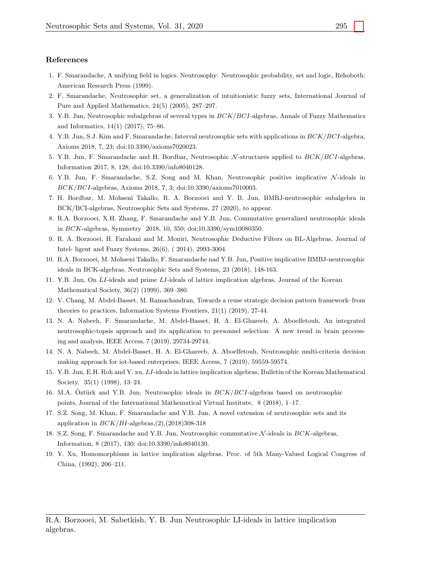### <span id="page-13-0"></span>References

- <span id="page-13-1"></span>1. F. Smarandache, A unifying field in logics. Neutrosophy: Neutrosophic probability, set and logic, Rehoboth: American Research Press (1999).
- <span id="page-13-2"></span>2. F. Smarandache, Neutrosophic set, a generalization of intuitionistic fuzzy sets, International Journal of Pure and Applied Mathematics, 24(5) (2005), 287–297.
- <span id="page-13-3"></span>3. Y.B. Jun, Neutrosophic subalgebras of several types in BCK/BCI-algebras, Annals of Fuzzy Mathematics and Informatics, 14(1) (2017), 75–86.
- <span id="page-13-4"></span>4. Y.B. Jun, S.J. Kim and F. Smarandache, Interval neutrosophic sets with applications in BCK/BCI-algebra, Axioms 2018, 7, 23; doi:10.3390/axioms7020023.
- <span id="page-13-5"></span>5. Y.B. Jun, F. Smarandache and H. Bordbar, Neutrosophic  $\mathcal{N}\text{-structures}$  applied to  $BCK/BCI\text{-algebras}$ , Information 2017, 8, 128; doi:10.3390/info8040128.
- <span id="page-13-6"></span>6. Y.B. Jun, F. Smarandache, S.Z. Song and M. Khan, Neutrosophic positive implicative  $\mathcal{N}\text{-ideals}$  in BCK/BCI-algebras, Axioms 2018, 7, 3; doi:10.3390/axioms7010003.
- 7. H. Bordbar, M. Mohseni Takallo, R. A. Borzooei and Y. B. Jun, BMBJ-neutrosophic subalgebra in BCK/BCI-algebras, Neutrosophic Sets and Systems, 27 (2020), to appear.
- 8. R.A. Borzooei, X.H. Zhang, F. Smarandache and Y.B. Jun, Commutative generalized neutrosophic ideals in BCK-algebras, Symmetry 2018, 10, 350; doi:10.3390/sym10080350.
- <span id="page-13-7"></span>9. R. A. Borzooei, H. Farahani and M. Moniri, Neutrosophic Deductive Filters on BL-Algebras, Journal of Intel- ligent and Fuzzy Systems, 26(6), ( 2014), 2993-3004.
- <span id="page-13-8"></span>10. R.A. Borzooei, M. Mohseni Takallo, F. Smarandache nad Y.B. Jun, Positive implicative BMBJ-neutrosophic ideals in BCK-algebras, Neutrosophic Sets and Systems, 23 (2018), 148-163.
- 11. Y.B. Jun, On LI-ideals and prime LI-ideals of lattice implication algebras, Journal of the Korean Mathematical Society, 36(2) (1999), 369–380.
- 12. V. Chang, M. Abdel-Basset, M. Ramachandran, Towards a reuse strategic decision pattern framework–from theories to practices, Information Systems Frontiers, 21(1) (2019), 27-44.
- 13. N. A. Nabeeh, F. Smarandache, M. Abdel-Basset, H. A. El-Ghareeb, A. Aboelfetouh, An integrated neutrosophic-topsis approach and its application to personnel selection: A new trend in brain processing and analysis, IEEE Access, 7 (2019), 29734-29744.
- <span id="page-13-11"></span>14. N. A. Nabeeh, M. Abdel-Basset, H. A. El-Ghareeb, A. Aboelfetouh, Neutrosophic multi-criteria decision making approach for iot-based enterprises, IEEE Access, 7 (2019), 59559-59574.
- 15. Y.B. Jun, E.H. Roh and Y. xu, LI-ideals in lattice implication algebras, Bulletin of the Korean Mathematical Society, 35(1) (1998), 13–24.
- 16. M.A. Oztürk and Y.B. Jun, Neutrosophic ideals in  $BCK/BCI$ -algebras based on neutrosophic points, Journal of the International Mathematical Virtual Institute, 8 (2018), 1–17.
- 17. S.Z. Song, M. Khan, F. Smarandache and Y.B. Jun, A novel extension of neutrosophic sets and its application in  $BCK/BI$ -algebras,(2),(2018)308-318
- <span id="page-13-10"></span>18. S.Z. Song, F. Smarandache and Y.B. Jun, Neutrosophic commutative  $\mathcal{N}\text{-ideals}$  in  $BCK\text{-algebras}$ , Information, 8 (2017), 130; doi:10.3390/info8040130.
- <span id="page-13-12"></span><span id="page-13-9"></span>19. Y. Xu, Homomorphisms in lattice implication algebras, Proc. of 5th Many-Valued Logical Congress of China, (1992), 206–211.